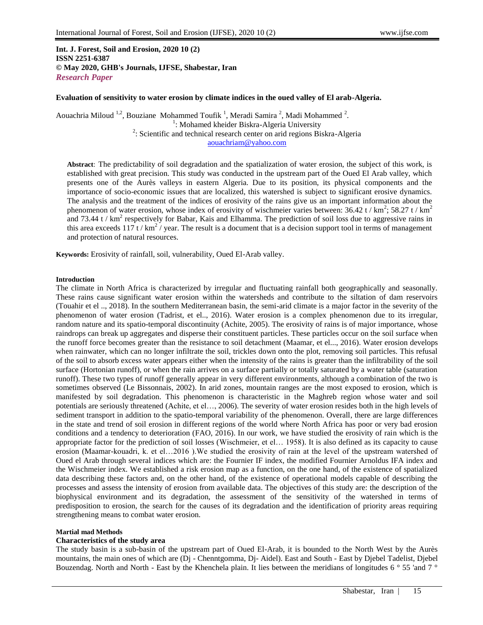### **Int. J. Forest, Soil and Erosion, 2020 10 (2) ISSN 2251-6387 © May 2020, GHB's Journals, IJFSE, Shabestar, Iran** *Research Paper*

#### **Evaluation of sensitivity to water erosion by climate indices in the oued valley of El arab-Algeria.**

Aouachria Miloud <sup>1,2</sup>, Bouziane Mohammed Toufik<sup>1</sup>, Meradi Samira<sup>2</sup>, Madi Mohammed <sup>2</sup>. <sup>1</sup>: Mohamed kheider Biskra-Algeria University  $2$ : Scientific and technical research center on arid regions Biskra-Algeria [aouachriam@yahoo.com](mailto:aouachriam@yahoo.com)

**Abstract**: The predictability of soil degradation and the spatialization of water erosion, the subject of this work, is established with great precision. This study was conducted in the upstream part of the Oued El Arab valley, which presents one of the Aurès valleys in eastern Algeria. Due to its position, its physical components and the importance of socio-economic issues that are localized, this watershed is subject to significant erosive dynamics. The analysis and the treatment of the indices of erosivity of the rains give us an important information about the phenomenon of water erosion, whose index of erosivity of wischmeier varies between:  $36.42$  t / km<sup>2</sup>;  $58.27$  t / km<sup>2</sup> and 73.44 t /  $km^2$  respectively for Babar, Kais and Elhamma. The prediction of soil loss due to aggressive rains in this area exceeds  $117t/km^2$  year. The result is a document that is a decision support tool in terms of management and protection of natural resources.

**Keywords:** Erosivity of rainfall, soil, vulnerability, Oued El-Arab valley.

#### **Introduction**

The climate in North Africa is characterized by irregular and fluctuating rainfall both geographically and seasonally. These rains cause significant water erosion within the watersheds and contribute to the siltation of dam reservoirs (Touahir et el .., 2018). In the southern Mediterranean basin, the semi-arid climate is a major factor in the severity of the phenomenon of water erosion (Tadrist, et el.., 2016). Water erosion is a complex phenomenon due to its irregular, random nature and its spatio-temporal discontinuity (Achite, 2005). The erosivity of rains is of major importance, whose raindrops can break up aggregates and disperse their constituent particles. These particles occur on the soil surface when the runoff force becomes greater than the resistance to soil detachment (Maamar, et el..., 2016). Water erosion develops when rainwater, which can no longer infiltrate the soil, trickles down onto the plot, removing soil particles. This refusal of the soil to absorb excess water appears either when the intensity of the rains is greater than the infiltrability of the soil surface (Hortonian runoff), or when the rain arrives on a surface partially or totally saturated by a water table (saturation runoff). These two types of runoff generally appear in very different environments, although a combination of the two is sometimes observed (Le Bissonnais, 2002). In arid zones, mountain ranges are the most exposed to erosion, which is manifested by soil degradation. This phenomenon is characteristic in the Maghreb region whose water and soil potentials are seriously threatened (Achite, et el…, 2006). The severity of water erosion resides both in the high levels of sediment transport in addition to the spatio-temporal variability of the phenomenon. Overall, there are large differences in the state and trend of soil erosion in different regions of the world where North Africa has poor or very bad erosion conditions and a tendency to deterioration (FAO, 2016). In our work, we have studied the erosivity of rain which is the appropriate factor for the prediction of soil losses (Wischmeier, et el… 1958). It is also defined as its capacity to cause erosion (Maamar-kouadri, k. et el…2016 ).We studied the erosivity of rain at the level of the upstream watershed of Oued el Arab through several indices which are: the Fournier IF index, the modified Fournier Arnoldus IFA index and the Wischmeier index. We established a risk erosion map as a function, on the one hand, of the existence of spatialized data describing these factors and, on the other hand, of the existence of operational models capable of describing the processes and assess the intensity of erosion from available data. The objectives of this study are: the description of the biophysical environment and its degradation, the assessment of the sensitivity of the watershed in terms of predisposition to erosion, the search for the causes of its degradation and the identification of priority areas requiring strengthening means to combat water erosion.

#### **Martial mad Methods**

#### **Characteristics of the study area**

The study basin is a sub-basin of the upstream part of Oued El-Arab, it is bounded to the North West by the Aurès mountains, the main ones of which are (Dj - Chenntgomma, Dj- Aidel). East and South - East by Djebel Tadelist, Djebel Bouzendag. North and North - East by the Khenchela plain. It lies between the meridians of longitudes 6 ° 55 'and 7 °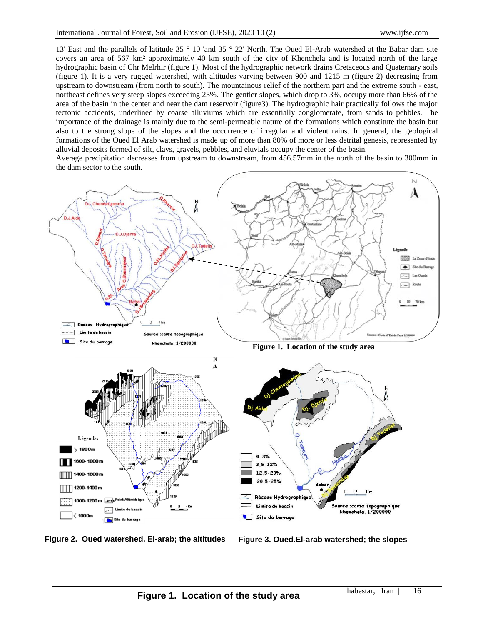13' East and the parallels of latitude 35 ° 10 'and 35 ° 22' North. The Oued El-Arab watershed at the Babar dam site covers an area of 567 km² approximately 40 km south of the city of Khenchela and is located north of the large hydrographic basin of Chr Melrhir (figure 1). Most of the hydrographic network drains Cretaceous and Quaternary soils (figure 1). It is a very rugged watershed, with altitudes varying between 900 and 1215 m (figure 2) decreasing from upstream to downstream (from north to south). The mountainous relief of the northern part and the extreme south - east, northeast defines very steep slopes exceeding 25%. The gentler slopes, which drop to 3%, occupy more than 66% of the area of the basin in the center and near the dam reservoir (figure3). The hydrographic hair practically follows the major tectonic accidents, underlined by coarse alluviums which are essentially conglomerate, from sands to pebbles. The importance of the drainage is mainly due to the semi-permeable nature of the formations which constitute the basin but also to the strong slope of the slopes and the occurrence of irregular and violent rains. In general, the geological formations of the Oued El Arab watershed is made up of more than 80% of more or less detrital genesis, represented by alluvial deposits formed of silt, clays, gravels, pebbles, and eluvials occupy the center of the basin.

Average precipitation decreases from upstream to downstream, from 456.57mm in the north of the basin to 300mm in the dam sector to the south.



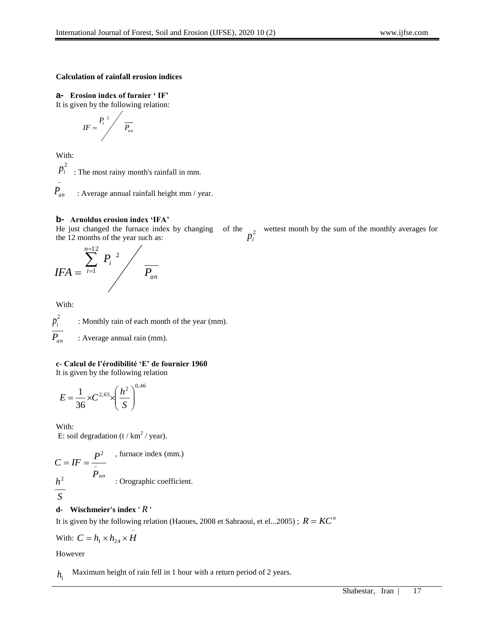# **Calculation of rainfall erosion indices**

**a- Erosion index of furnier ' IF'**  It is given by the following relation:

$$
IF = \frac{P_i^2}{P_{an}}
$$

With:

-

: The most rainy month's rainfall in mm. 2 *i p*

 : Average annual rainfall height mm / year. *Pan*

# **b- Arnoldus erosion index 'IFA'**

He just changed the furnace index by changing of the  $\frac{2}{\pi^2}$  wettest month by the sum of the monthly averages for the 12 months of the year such as: *i p*

$$
IFA = \sum_{i=1}^{n=12} P_i^2 / \frac{P_{an}}{P_{an}}
$$

With:

: Monthly rain of each month of the year (mm). : Average annual rain (mm).  $p_i^2$ *Pan*

**c- Calcul de l'érodibilité 'E' de fournier 1960**

It is given by the following relation

$$
E = \frac{1}{36} \times C^{2,65} \times \left(\frac{h^2}{S}\right)^{0,46}
$$

With: E: soil degradation (t / km<sup>2</sup> / year).

$$
C = IF = \frac{P^2}{\frac{P}{P_{an}}} \quad , \text{ furnace index (mm.)}
$$
  

$$
\frac{h^2}{S} \quad : \text{Orographic coefficient.}
$$

# **d- Wischmeier's index '** *R* **'**

It is given by the following relation (Haoues, 2008 et Sahraoui, et el...2005) ;  $R = KC^n$ 

With: 
$$
C = h_1 \times h_{24} \times \overline{H}
$$

However

Maximum height of rain fell in 1 hour with a return period of 2 years.  $h_{\scriptscriptstyle 1}$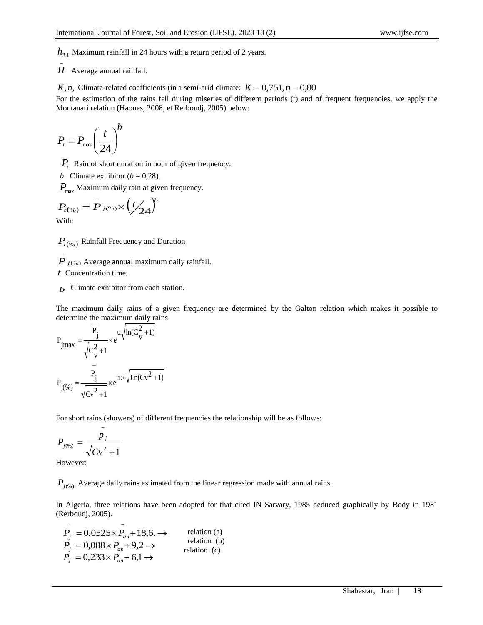$h_{24}$  Maximum rainfall in 24 hours with a return period of 2 years.

 $\overline{a}$ *H* Average annual rainfall.

*K*, *n*, Climate-related coefficients (in a semi-arid climate:  $K = 0.751$ ,  $n = 0.80$ 

For the estimation of the rains fell during miseries of different periods (t) and of frequent frequencies, we apply the Montanari relation (Haoues, 2008, et Rerboudj, 2005) below:

$$
P_{t} = P_{\max} \left(\frac{t}{24}\right)^{b}
$$

*Pt* Rain of short duration in hour of given frequency.

*b* Climate exhibitor ( $b = 0,28$ ).

 $P_{\text{max}}$  Maximum daily rain at given frequency.

$$
P_{t(\%)} = \bar{P}_{j(\%)} \times \left(t/24\right)^{b}
$$

With:

 $P_{t^{(\%)}}$  Rainfall Frequency and Duration

*P <sup>j</sup>*(%) Average annual maximum daily rainfall.

*t* Concentration time.

*b* Climate exhibitor from each station.

The maximum daily rains of a given frequency are determined by the Galton relation which makes it possible to determine the maximum daily rains

$$
h_{24}
$$
 Maximum rainfall in 24 hours with a return period of 2 years.  
\n $H$  Average annual rainfall.  
\n $K, n$ , Climate-related coefficients (in a semi-  
\ndic  
\n $K, n$ , Climate-related coefficients (in a semi-  
\ndic  
\n $K, n$ , Climate-related coefficients (in a semi-  
\ndic  
\n $K, n$ , Climate-related coefficients (in a semi-  
\ndic  
\n $K, n$ , Climate relation (Haous, 2008, et Reboudi, 2005) below:  
\n $P_{\text{f}} = P_{\text{max}} \left( \frac{t}{24} \right)$   
\n $P_{\text{f}} = P_{\text{max}} \left( \frac{t}{24} \right)$   
\n $P_{\text{f}} = P_{\text{JC6}} \times \left( \frac{t}{24} \right)$   
\n $P_{\text{f}} = P_{\text{JC6}} \times \left( \frac{t}{24} \right)$   
\n $P_{\text{f}} = P_{\text{JC6}} \times \left( \frac{t}{24} \right)$   
\n $P_{\text{fC6}} = P_{\text{JC6}} \times \left( \frac{t}{24} \right)$   
\n $P_{\text{fC6}} = P_{\text{JC6}} \times \left( \frac{t}{24} \right)$   
\n $P_{\text{fC6}} = P_{\text{JC6}} \times \left( \frac{t}{24} \right)$   
\n $P_{\text{fC6}} = P_{\text{JC6}} \times \left( \frac{t}{24} \right)$   
\n $P_{\text{fC6}} = P_{\text{JC6}} \times \left( \frac{t}{24} \right)$   
\n $P_{\text{fC6}} = \frac{F_1}{\sqrt{C_1^2 + 1}} \times e^{W_1 \ln(C_1^2 + 1)}$   
\n $P_{\text{JC6}} = \frac{F_1}{\sqrt{C_1^2 + 1}} \times e^{W_1 \sqrt{\ln(C_1^2 + 1)}}$   
\n $P_{\text{JC6}} = \frac{p_1}{\sqrt{C_1^2 + 1}}$   
\n $P_{\text{JC6}} = \frac{p_1}{\sqrt{C_1^2 + 1$ 

For short rains (showers) of different frequencies the relationship will be as follows:

$$
P_{j(\%)} = \frac{p_j}{\sqrt{Cv^2 + 1}}
$$

However:

 $P_{j(\%)}$  Average daily rains estimated from the linear regression made with annual rains.

In Algeria, three relations have been adopted for that cited IN Sarvary, 1985 deduced graphically by Body in 1981 (Rerboudj, 2005).

$$
P_{j} = 0.0525 \times P_{an} + 18.6. \rightarrow \text{relation (a)}
$$
  
\n
$$
P_{j} = 0.088 \times P_{an} + 9.2 \rightarrow \text{relation (b)}
$$
  
\n
$$
P_{j} = 0.233 \times P_{an} + 6.1 \rightarrow \text{relation (c)}
$$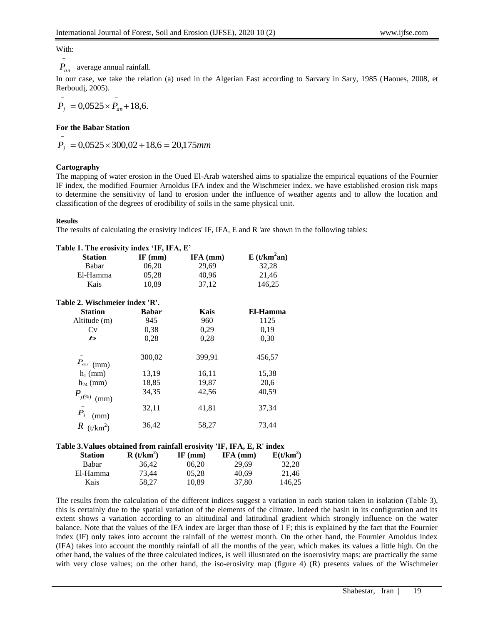With:  $\overline{a}$ 

# *Pan* average annual rainfall.

In our case, we take the relation (a) used in the Algerian East according to Sarvary in Sary, 1985 (Haoues, 2008, et Rerboudj, 2005).

$$
P_j = 0.0525 \times P_{an} + 18.6.
$$

#### **For the Babar Station**

$$
P_j = 0.0525 \times 300.02 + 18.6 = 20.175 \, \text{mm}
$$

## **Cartography**

The mapping of water erosion in the Oued El-Arab watershed aims to spatialize the empirical equations of the Fournier IF index, the modified Fournier Arnoldus IFA index and the Wischmeier index. we have established erosion risk maps to determine the sensitivity of land to erosion under the influence of weather agents and to allow the location and classification of the degrees of erodibility of soils in the same physical unit.

#### **Results**

The results of calculating the erosivity indices' IF, IFA, E and R 'are shown in the following tables:

| Table 1. The erosivity index 'IF, IFA, E'                              |              |           |                         |  |  |
|------------------------------------------------------------------------|--------------|-----------|-------------------------|--|--|
| <b>Station</b>                                                         | IF $(mm)$    | IFA (mm)  | E(t/km <sup>2</sup> an) |  |  |
| Babar                                                                  | 06,20        | 29,69     | 32,28                   |  |  |
| El-Hamma                                                               | 05,28        | 40,96     | 21,46                   |  |  |
| Kais                                                                   | 10,89        | 37,12     | 146,25                  |  |  |
| Table 2. Wischmeier index 'R'.                                         |              |           |                         |  |  |
| <b>Station</b>                                                         | <b>Babar</b> | Kais      | El-Hamma                |  |  |
| Altitude (m)                                                           | 945          | 960       | 1125                    |  |  |
| Cv                                                                     | 0.38         | 0,29      | 0,19                    |  |  |
| Ь                                                                      | 0,28         | 0,28      | 0,30                    |  |  |
| $P_{an}$ (mm)                                                          | 300,02       | 399,91    | 456,57                  |  |  |
| $h_1$ (mm)                                                             | 13,19        | 16,11     | 15,38                   |  |  |
| $h_{24}$ (mm)                                                          | 18,85        | 19,87     | 20,6                    |  |  |
| $P_{j^{(\%)} \pmod{m}}$                                                | 34,35        | 42,56     | 40,59                   |  |  |
| $\overline{P}_j$ (mm)                                                  | 32,11        | 41,81     | 37,34                   |  |  |
| $R_{(t/km^2)}$                                                         | 36,42        | 58,27     | 73,44                   |  |  |
| Table 3. Values obtained from rainfall erosivity 'IF, IFA, E, R' index |              |           |                         |  |  |
| <b>Station</b>                                                         | $R(t/km^2)$  | $IF$ (mm) | $E(t/km^2)$<br>IFA (mm) |  |  |

| <b>Station</b> | $R(t/km^2)$ | IF $(mm)$ | IFA (mm) | $E(t/km^2)$ |
|----------------|-------------|-----------|----------|-------------|
| Babar          | 36.42       | 06.20     | 29.69    | 32.28       |
| El-Hamma       | 73.44       | 05.28     | 40.69    | 21.46       |
| Kais           | 58.27       | 10.89     | 37.80    | 146.25      |

The results from the calculation of the different indices suggest a variation in each station taken in isolation (Table 3), this is certainly due to the spatial variation of the elements of the climate. Indeed the basin in its configuration and its extent shows a variation according to an altitudinal and latitudinal gradient which strongly influence on the water balance. Note that the values of the IFA index are larger than those of I F; this is explained by the fact that the Fournier index (IF) only takes into account the rainfall of the wettest month. On the other hand, the Fournier Amoldus index (IFA) takes into account the monthly rainfall of all the months of the year, which makes its values a little high. On the other hand, the values of the three calculated indices, is well illustrated on the isoerosivity maps: are practically the same with very close values; on the other hand, the iso-erosivity map (figure 4) (R) presents values of the Wischmeier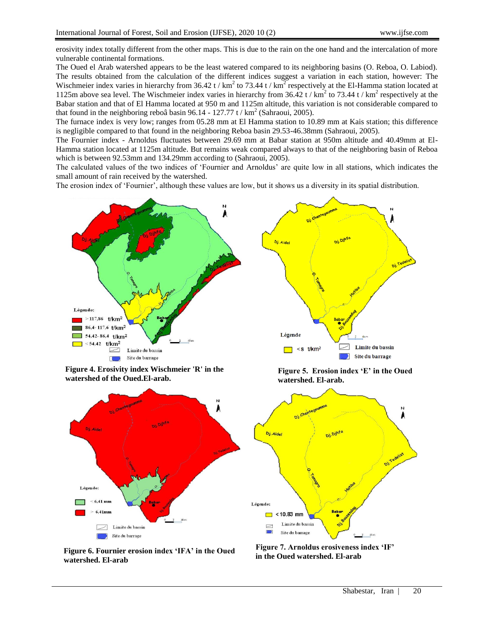erosivity index totally different from the other maps. This is due to the rain on the one hand and the intercalation of more vulnerable continental formations.

The Oued el Arab watershed appears to be the least watered compared to its neighboring basins (O. Reboa, O. Labiod). The results obtained from the calculation of the different indices suggest a variation in each station, however: The Wischmeier index varies in hierarchy from 36.42 t /  $km^2$  to 73.44 t /  $km^2$  respectively at the El-Hamma station located at 1125m above sea level. The Wischmeier index varies in hierarchy from  $36.42$  t / km<sup>2</sup> to  $73.44$  t / km<sup>2</sup> respectively at the Babar station and that of El Hamma located at 950 m and 1125m altitude, this variation is not considerable compared to that found in the neighboring reboâ basin 96.14 - 127.77 t /  $km^2$  (Sahraoui, 2005).

The furnace index is very low; ranges from 05.28 mm at El Hamma station to 10.89 mm at Kais station; this difference is negligible compared to that found in the neighboring Reboa basin 29.53-46.38mm (Sahraoui, 2005).

The Fournier index - Arnoldus fluctuates between 29.69 mm at Babar station at 950m altitude and 40.49mm at El-Hamma station located at 1125m altitude. But remains weak compared always to that of the neighboring basin of Reboa which is between 92.53mm and 134.29mm according to (Sahraoui, 2005).

The calculated values of the two indices of 'Fournier and Arnoldus' are quite low in all stations, which indicates the small amount of rain received by the watershed.

The erosion index of 'Fournier', although these values are low, but it shows us a diversity in its spatial distribution.



**Figure 4. Erosivity index Wischmeier 'R' in the watershed of the Oued.El-arab.**



**Figure 5. Erosion index 'E' in the Oued watershed. El-arab.**



**Figure 6. Fournier erosion index 'IFA' in the Oued watershed. El-arab**

**Figure 7. Arnoldus erosiveness index 'IF' in the Oued watershed. El-arab**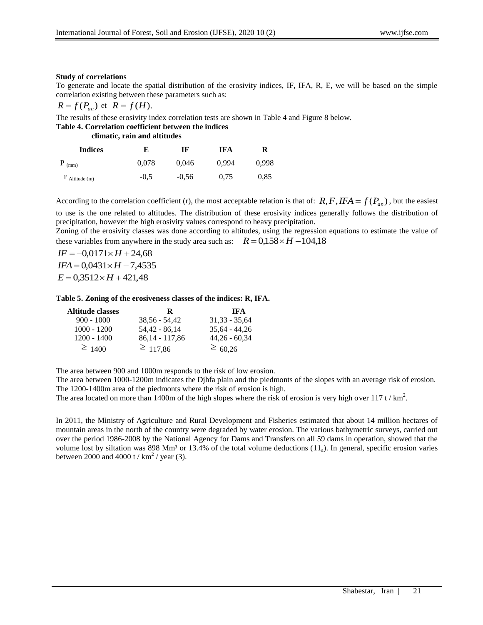### **Study of correlations**

To generate and locate the spatial distribution of the erosivity indices, IF, IFA, R, E, we will be based on the simple correlation existing between these parameters such as:

$$
R = f(P_{an}) \text{ et } R = f(H).
$$

The results of these erosivity index correlation tests are shown in Table 4 and Figure 8 below.

#### **Table 4. Correlation coefficient between the indices**

| <b>Indices</b>        | E      | IF      | <b>IFA</b> | R     |
|-----------------------|--------|---------|------------|-------|
| $P_{(mm)}$            | 0,078  | 0.046   | 0.994      | 0.998 |
| $\Gamma$ Altitude (m) | $-0.5$ | $-0.56$ | 0.75       | 0.85  |

According to the correlation coefficient (r), the most acceptable relation is that of:  $R, F, IFA = f(P_{an})$ , but the easiest to use is the one related to altitudes. The distribution of these erosivity indices generally follows the distribution of precipitation, however the high erosivity values correspond to heavy precipitation.

Zoning of the erosivity classes was done according to altitudes, using the regression equations to estimate the value of these variables from anywhere in the study area such as:  $R = 0.158 \times H - 104.18$ 

 $IF = -0.0171 \times H + 24.68$  $IFA = 0.0431 \times H - 7,4535$  $E = 0.3512 \times H + 421.48$ 

### **Table 5. Zoning of the erosiveness classes of the indices: R, IFA.**

| <b>Altitude classes</b> | R                | <b>IFA</b>      |
|-------------------------|------------------|-----------------|
| $900 - 1000$            | $38.56 - 54.42$  | $31.33 - 35.64$ |
| $1000 - 1200$           | 54.42 - 86.14    | $35.64 - 44.26$ |
| $1200 - 1400$           | $86,14 - 117,86$ | $44,26 - 60,34$ |
| $\geq 1400$             | $\geq 117,86$    | $\geq 60,26$    |

The area between 900 and 1000m responds to the risk of low erosion.

The area between 1000-1200m indicates the Djhfa plain and the piedmonts of the slopes with an average risk of erosion. The 1200-1400m area of the piedmonts where the risk of erosion is high.

The area located on more than 1400m of the high slopes where the risk of erosion is very high over 117 t /  $km^2$ .

In 2011, the Ministry of Agriculture and Rural Development and Fisheries estimated that about 14 million hectares of mountain areas in the north of the country were degraded by water erosion. The various bathymetric surveys, carried out over the period 1986-2008 by the National Agency for Dams and Transfers on all 59 dams in operation, showed that the volume lost by siltation was 898 Mm<sup>3</sup> or 13.4% of the total volume deductions  $(11<sub>a</sub>)$ . In general, specific erosion varies between 2000 and 4000 t /  $km^2$  / year (3).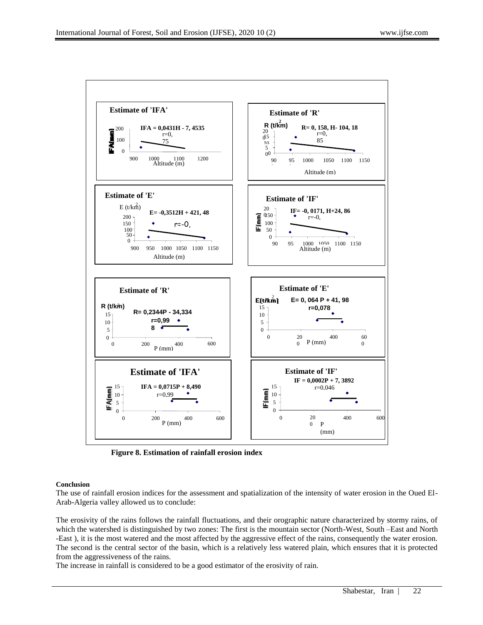

**Figure 8. Estimation of rainfall erosion index**

#### **Conclusion**

The use of rainfall erosion indices for the assessment and spatialization of the intensity of water erosion in the Oued El-Arab-Algeria valley allowed us to conclude:

The erosivity of the rains follows the rainfall fluctuations, and their orographic nature characterized by stormy rains, of which the watershed is distinguished by two zones: The first is the mountain sector (North-West, South –East and North -East ), it is the most watered and the most affected by the aggressive effect of the rains, consequently the water erosion. The second is the central sector of the basin, which is a relatively less watered plain, which ensures that it is protected from the aggressiveness of the rains.

The increase in rainfall is considered to be a good estimator of the erosivity of rain.